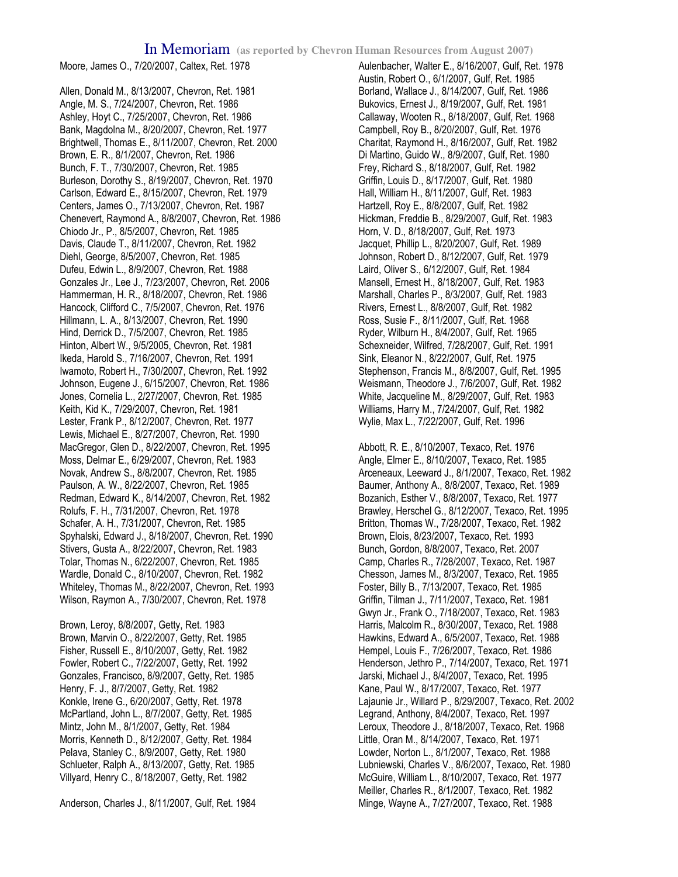Moore, James O., 7/20/2007, Caltex, Ret. 1978

Allen, Donald M., 8/13/2007, Chevron, Ret. 1981 Angle, M. S., 7/24/2007, Chevron, Ret. 1986 Ashley, Hoyt C., 7/25/2007, Chevron, Ret. 1986 Bank, Magdolna M., 8/20/2007, Chevron, Ret. 1977 Brightwell, Thomas E., 8/11/2007, Chevron, Ret. 2000 Brown, E. R., 8/1/2007, Chevron, Ret. 1986 Bunch, F. T., 7/30/2007, Chevron, Ret. 1985 Burleson, Dorothy S., 8/19/2007, Chevron, Ret. 1970 Carlson, Edward E., 8/15/2007, Chevron, Ret. 1979 Centers, James O., 7/13/2007, Chevron, Ret. 1987 Chenevert, Raymond A., 8/8/2007, Chevron, Ret. 1986 Chiodo Jr., P., 8/5/2007, Chevron, Ret. 1985 Davis, Claude T., 8/11/2007, Chevron, Ret. 1982 Diehl, George, 8/5/2007, Chevron, Ret. 1985 Dufeu, Edwin L., 8/9/2007, Chevron, Ret. 1988 Gonzales Jr., Lee J., 7/23/2007, Chevron, Ret. 2006 Hammerman, H. R., 8/18/2007, Chevron, Ret. 1986 Hancock, Clifford C., 7/5/2007, Chevron, Ret. 1976 Hillmann, L. A., 8/13/2007, Chevron, Ret. 1990 Hind, Derrick D., 7/5/2007, Chevron, Ret. 1985 Hinton, Albert W., 9/5/2005, Chevron, Ret. 1981 Ikeda, Harold S., 7/16/2007, Chevron, Ret. 1991 Iwamoto, Robert H., 7/30/2007, Chevron, Ret. 1992 Johnson, Eugene J., 6/15/2007, Chevron, Ret. 1986 Jones, Cornelia L., 2/27/2007, Chevron, Ret. 1985 Keith, Kid K., 7/29/2007, Chevron, Ret. 1981 Lester, Frank P., 8/12/2007, Chevron, Ret. 1977 Lewis, Michael E., 8/27/2007, Chevron, Ret. 1990 MacGregor, Glen D., 8/22/2007, Chevron, Ret. 1995 Moss, Delmar E., 6/29/2007, Chevron, Ret. 1983 Novak, Andrew S., 8/8/2007, Chevron, Ret. 1985 Paulson, A. W., 8/22/2007, Chevron, Ret. 1985 Redman, Edward K., 8/14/2007, Chevron, Ret. 1982 Rolufs, F. H., 7/31/2007, Chevron, Ret. 1978 Schafer, A. H., 7/31/2007, Chevron, Ret. 1985 Spyhalski, Edward J., 8/18/2007, Chevron, Ret. 1990 Stivers, Gusta A., 8/22/2007, Chevron, Ret. 1983 Tolar, Thomas N., 6/22/2007, Chevron, Ret. 1985 Wardle, Donald C., 8/10/2007, Chevron, Ret. 1982 Whiteley, Thomas M., 8/22/2007, Chevron, Ret. 1993 Wilson, Raymon A., 7/30/2007, Chevron, Ret. 1978

Brown, Leroy, 8/8/2007, Getty, Ret. 1983 Brown, Marvin O., 8/22/2007, Getty, Ret. 1985 Fisher, Russell E., 8/10/2007, Getty, Ret. 1982 Fowler, Robert C., 7/22/2007, Getty, Ret. 1992 Gonzales, Francisco, 8/9/2007, Getty, Ret. 1985 Henry, F. J., 8/7/2007, Getty, Ret. 1982 Konkle, Irene G., 6/20/2007, Getty, Ret. 1978 McPartland, John L., 8/7/2007, Getty, Ret. 1985 Mintz, John M., 8/1/2007, Getty, Ret. 1984 Morris, Kenneth D., 8/12/2007, Getty, Ret. 1984 Pelava, Stanley C., 8/9/2007, Getty, Ret. 1980 Schlueter, Ralph A., 8/13/2007, Getty, Ret. 1985 Villyard, Henry C., 8/18/2007, Getty, Ret. 1982

Anderson, Charles J., 8/11/2007, Gulf, Ret. 1984

Aulenbacher, Walter E., 8/16/2007, Gulf, Ret. 1978 Austin, Robert O., 6/1/2007, Gulf, Ret. 1985 Borland, Wallace J., 8/14/2007, Gulf, Ret. 1986 Bukovics, Ernest J., 8/19/2007, Gulf, Ret. 1981 Callaway, Wooten R., 8/18/2007, Gulf, Ret. 1968 Campbell, Roy B., 8/20/2007, Gulf, Ret. 1976 Charitat, Raymond H., 8/16/2007, Gulf, Ret. 1982 Di Martino, Guido W., 8/9/2007, Gulf, Ret. 1980 Frey, Richard S., 8/18/2007, Gulf, Ret. 1982 Griffin, Louis D., 8/17/2007, Gulf, Ret. 1980 Hall, William H., 8/11/2007, Gulf, Ret. 1983 Hartzell, Roy E., 8/8/2007, Gulf, Ret. 1982 Hickman, Freddie B., 8/29/2007, Gulf, Ret. 1983 Horn, V. D., 8/18/2007, Gulf, Ret. 1973 Jacquet, Phillip L., 8/20/2007, Gulf, Ret. 1989 Johnson, Robert D., 8/12/2007, Gulf, Ret. 1979 Laird, Oliver S., 6/12/2007, Gulf, Ret. 1984 Mansell, Ernest H., 8/18/2007, Gulf, Ret. 1983 Marshall, Charles P., 8/3/2007, Gulf, Ret. 1983 Rivers, Ernest L., 8/8/2007, Gulf, Ret. 1982 Ross, Susie F., 8/11/2007, Gulf, Ret. 1968 Ryder, Wilburn H., 8/4/2007, Gulf, Ret. 1965 Schexneider, Wilfred, 7/28/2007, Gulf, Ret. 1991 Sink, Eleanor N., 8/22/2007, Gulf, Ret. 1975 Stephenson, Francis M., 8/8/2007, Gulf, Ret. 1995 Weismann, Theodore J., 7/6/2007, Gulf, Ret. 1982 White, Jacqueline M., 8/29/2007, Gulf, Ret. 1983 Williams, Harry M., 7/24/2007, Gulf, Ret. 1982 Wylie, Max L., 7/22/2007, Gulf, Ret. 1996

Abbott, R. E., 8/10/2007, Texaco, Ret. 1976 Angle, Elmer E., 8/10/2007, Texaco, Ret. 1985 Arceneaux, Leeward J., 8/1/2007, Texaco, Ret. 1982 Baumer, Anthony A., 8/8/2007, Texaco, Ret. 1989 Bozanich, Esther V., 8/8/2007, Texaco, Ret. 1977 Brawley, Herschel G., 8/12/2007, Texaco, Ret. 1995 Britton, Thomas W., 7/28/2007, Texaco, Ret. 1982 Brown, Elois, 8/23/2007, Texaco, Ret. 1993 Bunch, Gordon, 8/8/2007, Texaco, Ret. 2007 Camp, Charles R., 7/28/2007, Texaco, Ret. 1987 Chesson, James M., 8/3/2007, Texaco, Ret. 1985 Foster, Billy B., 7/13/2007, Texaco, Ret. 1985 Griffin, Tilman J., 7/11/2007, Texaco, Ret. 1981 Gwyn Jr., Frank O., 7/18/2007, Texaco, Ret. 1983 Harris, Malcolm R., 8/30/2007, Texaco, Ret. 1988 Hawkins, Edward A., 6/5/2007, Texaco, Ret. 1988 Hempel, Louis F., 7/26/2007, Texaco, Ret. 1986 Henderson, Jethro P., 7/14/2007, Texaco, Ret. 1971 Jarski, Michael J., 8/4/2007, Texaco, Ret. 1995 Kane, Paul W., 8/17/2007, Texaco, Ret. 1977 Lajaunie Jr., Willard P., 8/29/2007, Texaco, Ret. 2002 Legrand, Anthony, 8/4/2007, Texaco, Ret. 1997 Leroux, Theodore J., 8/18/2007, Texaco, Ret. 1968 Little, Oran M., 8/14/2007, Texaco, Ret. 1971 Lowder, Norton L., 8/1/2007, Texaco, Ret. 1988 Lubniewski, Charles V., 8/6/2007, Texaco, Ret. 1980 McGuire, William L., 8/10/2007, Texaco, Ret. 1977 Meiller, Charles R., 8/1/2007, Texaco, Ret. 1982 Minge, Wayne A., 7/27/2007, Texaco, Ret. 1988